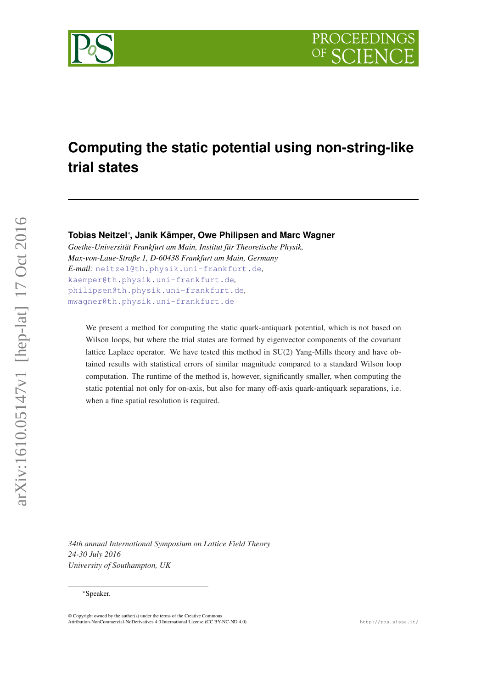**PROCEEDING** 



# **Computing the static potential using non-string-like trial states**

**Tobias Neitzel**<sup>∗</sup> **, Janik Kämper, Owe Philipsen and Marc Wagner**

*Goethe-Universität Frankfurt am Main, Institut für Theoretische Physik, Max-von-Laue-Straße 1, D-60438 Frankfurt am Main, Germany E-mail:* [neitzel@th.physik.uni-frankfurt.de](mailto:neitzel@th.physik.uni-frankfurt.de)*,* [kaemper@th.physik.uni-frankfurt.de](mailto:kaemper@th.physik.uni-frankfurt.de)*,* [philipsen@th.physik.uni-frankfurt.de](mailto:philipsen@th.physik.uni-frankfurt.de)*,* [mwagner@th.physik.uni-frankfurt.de](mailto:mwagner@th.physik.uni-frankfurt.de)

We present a method for computing the static quark-antiquark potential, which is not based on Wilson loops, but where the trial states are formed by eigenvector components of the covariant lattice Laplace operator. We have tested this method in SU(2) Yang-Mills theory and have obtained results with statistical errors of similar magnitude compared to a standard Wilson loop computation. The runtime of the method is, however, significantly smaller, when computing the static potential not only for on-axis, but also for many off-axis quark-antiquark separations, i.e. when a fine spatial resolution is required.

*34th annual International Symposium on Lattice Field Theory 24-30 July 2016 University of Southampton, UK*

#### <sup>∗</sup>Speaker.

<sup>©</sup> Copyright owned by the author(s) under the terms of the Creative Commons Attribution-NonCommercial-NoDerivatives 4.0 International License (CC BY-NC-ND 4.0). http://pos.sissa.it/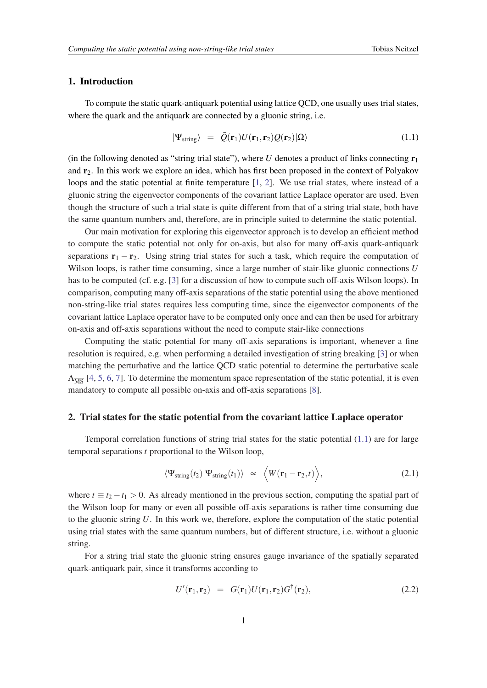# <span id="page-1-0"></span>1. Introduction

To compute the static quark-antiquark potential using lattice QCD, one usually uses trial states, where the quark and the antiquark are connected by a gluonic string, i.e.

$$
|\Psi_{\text{string}}\rangle = \bar{Q}(\mathbf{r}_1)U(\mathbf{r}_1,\mathbf{r}_2)Q(\mathbf{r}_2)|\Omega\rangle \qquad (1.1)
$$

(in the following denoted as "string trial state"), where *U* denotes a product of links connecting  $\mathbf{r}_1$ and  $r<sub>2</sub>$ . In this work we explore an idea, which has first been proposed in the context of Polyakov loops and the static potential at finite temperature [\[1,](#page-6-0) [2](#page-6-0)]. We use trial states, where instead of a gluonic string the eigenvector components of the covariant lattice Laplace operator are used. Even though the structure of such a trial state is quite different from that of a string trial state, both have the same quantum numbers and, therefore, are in principle suited to determine the static potential.

Our main motivation for exploring this eigenvector approach is to develop an efficient method to compute the static potential not only for on-axis, but also for many off-axis quark-antiquark separations  $\mathbf{r}_1 - \mathbf{r}_2$ . Using string trial states for such a task, which require the computation of Wilson loops, is rather time consuming, since a large number of stair-like gluonic connections *U* has to be computed (cf. e.g. [[3](#page-6-0)] for a discussion of how to compute such off-axis Wilson loops). In comparison, computing many off-axis separations of the static potential using the above mentioned non-string-like trial states requires less computing time, since the eigenvector components of the covariant lattice Laplace operator have to be computed only once and can then be used for arbitrary on-axis and off-axis separations without the need to compute stair-like connections

Computing the static potential for many off-axis separations is important, whenever a fine resolution is required, e.g. when performing a detailed investigation of string breaking [[3](#page-6-0)] or when matching the perturbative and the lattice QCD static potential to determine the perturbative scale  $\Lambda_{\overline{MS}}$  [\[4,](#page-6-0) [5](#page-6-0), [6](#page-6-0), [7\]](#page-6-0). To determine the momentum space representation of the static potential, it is even mandatory to compute all possible on-axis and off-axis separations [[8\]](#page-6-0).

#### 2. Trial states for the static potential from the covariant lattice Laplace operator

Temporal correlation functions of string trial states for the static potential (1.1) are for large temporal separations *t* proportional to the Wilson loop,

$$
\langle \Psi_{\text{string}}(t_2) | \Psi_{\text{string}}(t_1) \rangle \quad \propto \quad \langle W(\mathbf{r}_1 - \mathbf{r}_2, t) \rangle, \tag{2.1}
$$

where  $t \equiv t_2 - t_1 > 0$ . As already mentioned in the previous section, computing the spatial part of the Wilson loop for many or even all possible off-axis separations is rather time consuming due to the gluonic string *U*. In this work we, therefore, explore the computation of the static potential using trial states with the same quantum numbers, but of different structure, i.e. without a gluonic string.

For a string trial state the gluonic string ensures gauge invariance of the spatially separated quark-antiquark pair, since it transforms according to

$$
U'(\mathbf{r}_1, \mathbf{r}_2) = G(\mathbf{r}_1)U(\mathbf{r}_1, \mathbf{r}_2)G^{\dagger}(\mathbf{r}_2), \qquad (2.2)
$$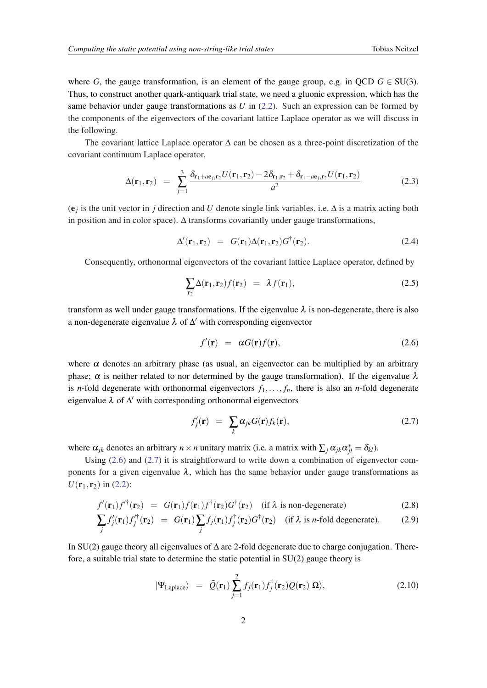<span id="page-2-0"></span>where *G*, the gauge transformation, is an element of the gauge group, e.g. in QCD  $G \in SU(3)$ . Thus, to construct another quark-antiquark trial state, we need a gluonic expression, which has the same behavior under gauge transformations as *U* in ([2.2](#page-1-0)). Such an expression can be formed by the components of the eigenvectors of the covariant lattice Laplace operator as we will discuss in the following.

The covariant lattice Laplace operator ∆ can be chosen as a three-point discretization of the covariant continuum Laplace operator,

$$
\Delta(\mathbf{r}_1, \mathbf{r}_2) = \sum_{j=1}^3 \frac{\delta_{\mathbf{r}_1 + a\mathbf{e}_j, \mathbf{r}_2} U(\mathbf{r}_1, \mathbf{r}_2) - 2\delta_{\mathbf{r}_1, \mathbf{r}_2} + \delta_{\mathbf{r}_1 - a\mathbf{e}_j, \mathbf{r}_2} U(\mathbf{r}_1, \mathbf{r}_2)}{a^2}
$$
(2.3)

(e*<sup>j</sup>* is the unit vector in *j* direction and *U* denote single link variables, i.e. ∆ is a matrix acting both in position and in color space). ∆ transforms covariantly under gauge transformations,

$$
\Delta'(\mathbf{r}_1, \mathbf{r}_2) = G(\mathbf{r}_1) \Delta(\mathbf{r}_1, \mathbf{r}_2) G^{\dagger}(\mathbf{r}_2). \tag{2.4}
$$

Consequently, orthonormal eigenvectors of the covariant lattice Laplace operator, defined by

$$
\sum_{\mathbf{r}_2} \Delta(\mathbf{r}_1, \mathbf{r}_2) f(\mathbf{r}_2) = \lambda f(\mathbf{r}_1), \qquad (2.5)
$$

transform as well under gauge transformations. If the eigenvalue  $\lambda$  is non-degenerate, there is also a non-degenerate eigenvalue  $\lambda$  of  $\Delta'$  with corresponding eigenvector

$$
f'(\mathbf{r}) = \alpha G(\mathbf{r}) f(\mathbf{r}), \qquad (2.6)
$$

where  $\alpha$  denotes an arbitrary phase (as usual, an eigenvector can be multiplied by an arbitrary phase;  $\alpha$  is neither related to nor determined by the gauge transformation). If the eigenvalue  $\lambda$ is *n*-fold degenerate with orthonormal eigenvectors  $f_1, \ldots, f_n$ , there is also an *n*-fold degenerate eigenvalue  $\lambda$  of  $\Delta'$  with corresponding orthonormal eigenvectors

$$
f'_{j}(\mathbf{r}) = \sum_{k} \alpha_{jk} G(\mathbf{r}) f_{k}(\mathbf{r}), \qquad (2.7)
$$

where  $\alpha_{jk}$  denotes an arbitrary  $n \times n$  unitary matrix (i.e. a matrix with  $\sum_j \alpha_{jk} \alpha_{jl}^* = \delta_{kl}$ ).

Using (2.6) and (2.7) it is straightforward to write down a combination of eigenvector components for a given eigenvalue  $\lambda$ , which has the same behavior under gauge transformations as  $U(\mathbf{r}_1, \mathbf{r}_2)$  in ([2.2](#page-1-0)):

$$
f'(\mathbf{r}_1)f'^{\dagger}(\mathbf{r}_2) = G(\mathbf{r}_1)f(\mathbf{r}_1)f^{\dagger}(\mathbf{r}_2)G^{\dagger}(\mathbf{r}_2)
$$
 (if  $\lambda$  is non-degenerate) \t(2.8)

$$
\sum_{j} f'_{j}(\mathbf{r}_{1}) f'^{\dagger}_{j}(\mathbf{r}_{2}) = G(\mathbf{r}_{1}) \sum_{j} f_{j}(\mathbf{r}_{1}) f^{\dagger}_{j}(\mathbf{r}_{2}) G^{\dagger}(\mathbf{r}_{2}) \text{ (if } \lambda \text{ is } n\text{-fold degenerate).}
$$
 (2.9)

In SU(2) gauge theory all eigenvalues of ∆ are 2-fold degenerate due to charge conjugation. Therefore, a suitable trial state to determine the static potential in SU(2) gauge theory is

$$
|\Psi_{\text{Laplace}}\rangle = \bar{Q}(\mathbf{r}_1) \sum_{j=1}^2 f_j(\mathbf{r}_1) f_j^{\dagger}(\mathbf{r}_2) Q(\mathbf{r}_2) |\Omega\rangle, \qquad (2.10)
$$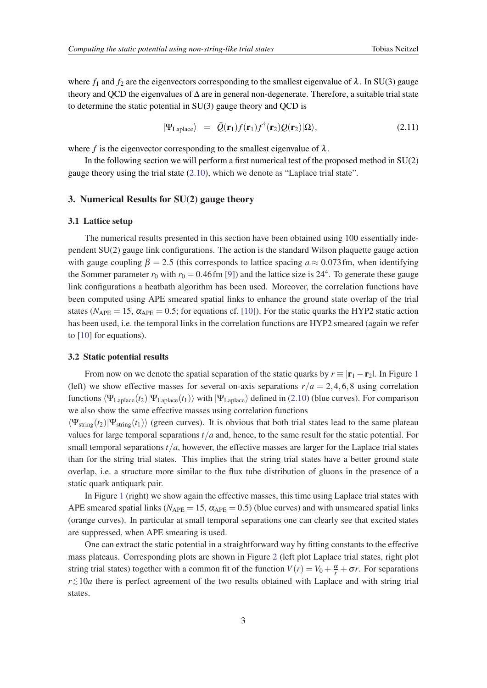where  $f_1$  and  $f_2$  are the eigenvectors corresponding to the smallest eigenvalue of  $\lambda$ . In SU(3) gauge theory and QCD the eigenvalues of ∆ are in general non-degenerate. Therefore, a suitable trial state to determine the static potential in SU(3) gauge theory and QCD is

$$
|\Psi_{\text{Laplace}}\rangle = \bar{Q}(\mathbf{r}_1)f(\mathbf{r}_1)f^{\dagger}(\mathbf{r}_2)Q(\mathbf{r}_2)|\Omega\rangle, \qquad (2.11)
$$

where *f* is the eigenvector corresponding to the smallest eigenvalue of  $\lambda$ .

In the following section we will perform a first numerical test of the proposed method in SU(2) gauge theory using the trial state ([2.10\)](#page-2-0), which we denote as "Laplace trial state".

# 3. Numerical Results for SU(2) gauge theory

## 3.1 Lattice setup

The numerical results presented in this section have been obtained using 100 essentially independent SU(2) gauge link configurations. The action is the standard Wilson plaquette gauge action with gauge coupling  $\beta = 2.5$  (this corresponds to lattice spacing  $a \approx 0.073$  fm, when identifying the Sommer parameter  $r_0$  with  $r_0 = 0.46$  fm [[9\]](#page-6-0)) and the lattice size is  $24^4$ . To generate these gauge link configurations a heatbath algorithm has been used. Moreover, the correlation functions have been computed using APE smeared spatial links to enhance the ground state overlap of the trial states ( $N_{\text{APE}} = 15$ ,  $\alpha_{\text{APE}} = 0.5$ ; for equations cf. [\[10](#page-6-0)]). For the static quarks the HYP2 static action has been used, i.e. the temporal links in the correlation functions are HYP2 smeared (again we refer to [\[10](#page-6-0)] for equations).

#### 3.2 Static potential results

From now on we denote the spatial separation of the static quarks by  $r \equiv |\mathbf{r}_1 - \mathbf{r}_2|$  $r \equiv |\mathbf{r}_1 - \mathbf{r}_2|$  $r \equiv |\mathbf{r}_1 - \mathbf{r}_2|$ . In Figure 1 (left) we show effective masses for several on-axis separations  $r/a = 2,4,6,8$  using correlation functions  $\langle \Psi_{\text{Laplace}}(t_1) | \Psi_{\text{Laplace}}(t_1) \rangle$  with  $|\Psi_{\text{Laplace}}\rangle$  defined in ([2.10\)](#page-2-0) (blue curves). For comparison we also show the same effective masses using correlation functions

 $\langle \Psi_{string}(t_2)|\Psi_{string}(t_1)\rangle$  (green curves). It is obvious that both trial states lead to the same plateau values for large temporal separations *t*/*a* and, hence, to the same result for the static potential. For small temporal separations  $t/a$ , however, the effective masses are larger for the Laplace trial states than for the string trial states. This implies that the string trial states have a better ground state overlap, i.e. a structure more similar to the flux tube distribution of gluons in the presence of a static quark antiquark pair.

In Figure [1](#page-4-0) (right) we show again the effective masses, this time using Laplace trial states with APE smeared spatial links ( $N_{\text{APE}} = 15$ ,  $\alpha_{\text{APE}} = 0.5$ ) (blue curves) and with unsmeared spatial links (orange curves). In particular at small temporal separations one can clearly see that excited states are suppressed, when APE smearing is used.

One can extract the static potential in a straightforward way by fitting constants to the effective mass plateaus. Corresponding plots are shown in Figure [2](#page-4-0) (left plot Laplace trial states, right plot string trial states) together with a common fit of the function  $V(r) = V_0 + \frac{\alpha}{r} + \sigma r$ . For separations *r* ≤ 10*a* there is perfect agreement of the two results obtained with Laplace and with string trial states.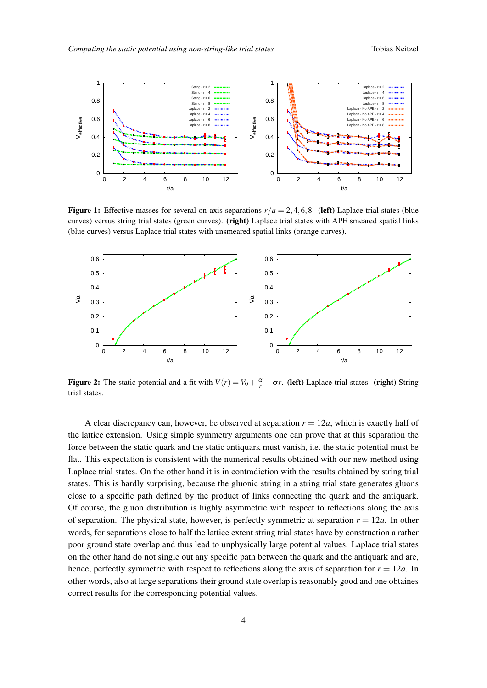<span id="page-4-0"></span>

**Figure 1:** Effective masses for several on-axis separations  $r/a = 2,4,6,8$ . (left) Laplace trial states (blue curves) versus string trial states (green curves). (right) Laplace trial states with APE smeared spatial links (blue curves) versus Laplace trial states with unsmeared spatial links (orange curves).



Figure 2: The static potential and a fit with  $V(r) = V_0 + \frac{\alpha}{r} + \sigma r$ . (left) Laplace trial states. (right) String trial states.

A clear discrepancy can, however, be observed at separation  $r = 12a$ , which is exactly half of the lattice extension. Using simple symmetry arguments one can prove that at this separation the force between the static quark and the static antiquark must vanish, i.e. the static potential must be flat. This expectation is consistent with the numerical results obtained with our new method using Laplace trial states. On the other hand it is in contradiction with the results obtained by string trial states. This is hardly surprising, because the gluonic string in a string trial state generates gluons close to a specific path defined by the product of links connecting the quark and the antiquark. Of course, the gluon distribution is highly asymmetric with respect to reflections along the axis of separation. The physical state, however, is perfectly symmetric at separation  $r = 12a$ . In other words, for separations close to half the lattice extent string trial states have by construction a rather poor ground state overlap and thus lead to unphysically large potential values. Laplace trial states on the other hand do not single out any specific path between the quark and the antiquark and are, hence, perfectly symmetric with respect to reflections along the axis of separation for  $r = 12a$ . In other words, also at large separations their ground state overlap is reasonably good and one obtaines correct results for the corresponding potential values.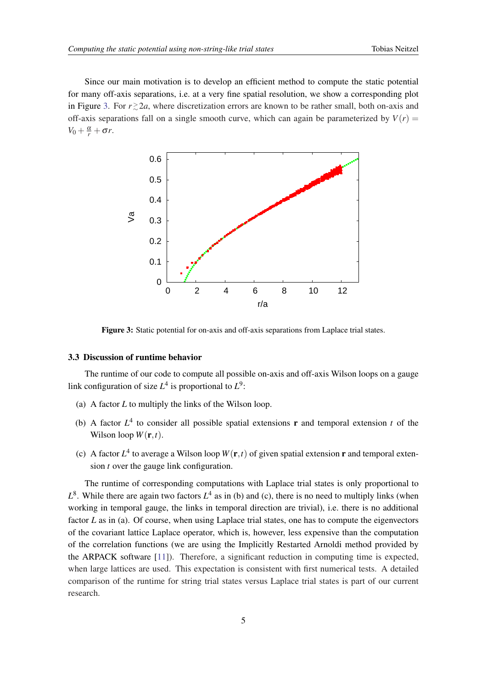Since our main motivation is to develop an efficient method to compute the static potential for many off-axis separations, i.e. at a very fine spatial resolution, we show a corresponding plot in Figure 3. For  $r \gtrsim 2a$ , where discretization errors are known to be rather small, both on-axis and off-axis separations fall on a single smooth curve, which can again be parameterized by  $V(r)$  $V_0 + \frac{\alpha}{r} + \sigma r$ .



Figure 3: Static potential for on-axis and off-axis separations from Laplace trial states.

#### 3.3 Discussion of runtime behavior

The runtime of our code to compute all possible on-axis and off-axis Wilson loops on a gauge link configuration of size  $L^4$  is proportional to  $L^9$ :

- (a) A factor *L* to multiply the links of the Wilson loop.
- (b) A factor  $L^4$  to consider all possible spatial extensions **r** and temporal extension *t* of the Wilson loop  $W(\mathbf{r},t)$ .
- (c) A factor  $L^4$  to average a Wilson loop  $W(\mathbf{r},t)$  of given spatial extension **r** and temporal extension *t* over the gauge link configuration.

The runtime of corresponding computations with Laplace trial states is only proportional to  $L^8$ . While there are again two factors  $L^4$  as in (b) and (c), there is no need to multiply links (when working in temporal gauge, the links in temporal direction are trivial), i.e. there is no additional factor *L* as in (a). Of course, when using Laplace trial states, one has to compute the eigenvectors of the covariant lattice Laplace operator, which is, however, less expensive than the computation of the correlation functions (we are using the Implicitly Restarted Arnoldi method provided by the ARPACK software [\[11](#page-6-0)]). Therefore, a significant reduction in computing time is expected, when large lattices are used. This expectation is consistent with first numerical tests. A detailed comparison of the runtime for string trial states versus Laplace trial states is part of our current research.